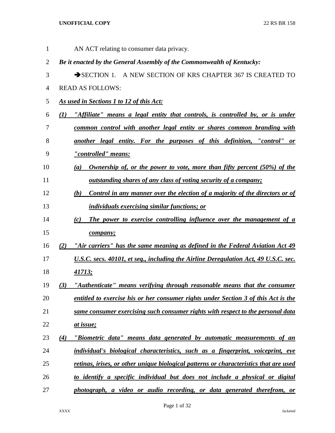| $\mathbf{1}$   |     | AN ACT relating to consumer data privacy.                                                    |
|----------------|-----|----------------------------------------------------------------------------------------------|
| $\overline{2}$ |     | Be it enacted by the General Assembly of the Commonwealth of Kentucky:                       |
| 3              |     | SECTION 1. A NEW SECTION OF KRS CHAPTER 367 IS CREATED TO                                    |
| $\overline{4}$ |     | <b>READ AS FOLLOWS:</b>                                                                      |
| 5              |     | As used in Sections 1 to 12 of this Act:                                                     |
| 6              | (1) | "Affiliate" means a legal entity that controls, is controlled by, or is under                |
| 7              |     | common control with another legal entity or shares common branding with                      |
| 8              |     | another legal entity. For the purposes of this definition, "control" or                      |
| 9              |     | <u>"controlled" means:</u>                                                                   |
| 10             |     | Ownership of, or the power to vote, more than fifty percent (50%) of the<br>$\left(a\right)$ |
| 11             |     | <u>outstanding shares of any class of voting security of a company;</u>                      |
| 12             |     | Control in any manner over the election of a majority of the directors or of<br>(b)          |
| 13             |     | <i>individuals exercising similar functions; or</i>                                          |
| 14             |     | The power to exercise controlling influence over the management of a<br>(c)                  |
| 15             |     | company;                                                                                     |
| 16             | (2) | "Air carriers" has the same meaning as defined in the Federal Aviation Act 49                |
| 17             |     | <u>U.S.C. secs. 40101, et seq., including the Airline Deregulation Act, 49 U.S.C. sec.</u>   |
| 18             |     | <u>41713;</u>                                                                                |
| 19             | (3) | "Authenticate" means verifying through reasonable means that the consumer                    |
| 20             |     | entitled to exercise his or her consumer rights under Section 3 of this Act is the           |
| 21             |     | same consumer exercising such consumer rights with respect to the personal data              |
| 22             |     | at issue;                                                                                    |
| 23             | (4) | "Biometric data" means data generated by automatic measurements of an                        |
| 24             |     | individual's biological characteristics, such as a fingerprint, voiceprint, eye              |
| 25             |     | retinas, irises, or other unique biological patterns or characteristics that are used        |
| 26             |     | to identify a specific individual but does not include a physical or digital                 |
| 27             |     | photograph, a video or audio recording, or data generated therefrom, or                      |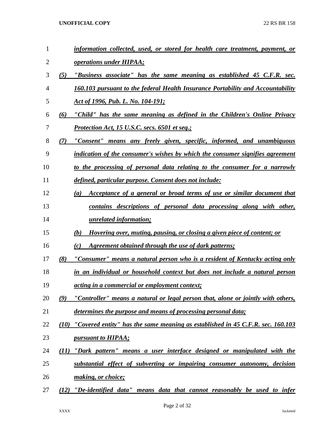| 1  |      | information collected, used, or stored for health care treatment, payment, or              |
|----|------|--------------------------------------------------------------------------------------------|
| 2  |      | <i>operations under HIPAA;</i>                                                             |
| 3  | (5)  | "Business associate" has the same meaning as established 45 C.F.R. sec.                    |
| 4  |      | 160.103 pursuant to the federal Health Insurance Portability and Accountability            |
| 5  |      | Act of 1996, Pub. L. No. 104-191;                                                          |
| 6  | (6)  | "Child" has the same meaning as defined in the Children's Online Privacy                   |
| 7  |      | <b>Protection Act, 15 U.S.C. secs. 6501 et seq.;</b>                                       |
| 8  | (7)  | "Consent" means any freely given, specific, informed, and unambiguous                      |
| 9  |      | indication of the consumer's wishes by which the consumer signifies agreement              |
| 10 |      | to the processing of personal data relating to the consumer for a narrowly                 |
| 11 |      | defined, particular purpose. Consent does not include:                                     |
| 12 |      | Acceptance of a general or broad terms of use or similar document that<br>$\left(a\right)$ |
| 13 |      | contains descriptions of personal data processing along with other,                        |
| 14 |      | <u>unrelated information;</u>                                                              |
| 15 |      | Hovering over, muting, pausing, or closing a given piece of content; or<br>(b)             |
| 16 |      | <u>Agreement obtained through the use of dark patterns;</u><br>(c)                         |
| 17 | (8)  | "Consumer" means a natural person who is a resident of Kentucky acting only                |
| 18 |      | in an individual or household context but does not include a natural person                |
| 19 |      | acting in a commercial or employment context;                                              |
| 20 | (9)  | "Controller" means a natural or legal person that, alone or jointly with others,           |
| 21 |      | determines the purpose and means of processing personal data;                              |
| 22 | (10) | "Covered entity" has the same meaning as established in 45 C.F.R. sec. 160.103             |
| 23 |      | <i>pursuant to HIPAA;</i>                                                                  |
| 24 | (11) | "Dark pattern" means a user interface designed or manipulated with the                     |
| 25 |      | substantial effect of subverting or impairing consumer autonomy, decision                  |
| 26 |      | making, or choice;                                                                         |
| 27 |      | (12) "De-identified data" means data that cannot reasonably be used to infer               |
|    |      |                                                                                            |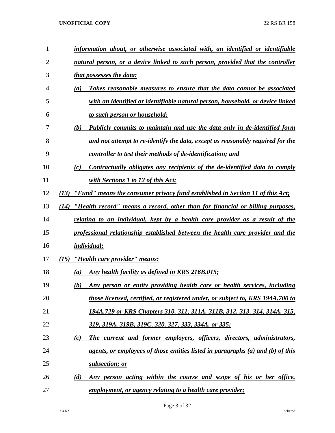| 1              | information about, or otherwise associated with, an identified or identifiable        |
|----------------|---------------------------------------------------------------------------------------|
| $\overline{2}$ | natural person, or a device linked to such person, provided that the controller       |
| 3              | <i>that possesses the data:</i>                                                       |
| $\overline{4}$ | Takes reasonable measures to ensure that the data cannot be associated<br>(a)         |
| 5              | with an identified or identifiable natural person, household, or device linked        |
| 6              | to such person or household;                                                          |
| 7              | (b)<br>Publicly commits to maintain and use the data only in de-identified form       |
| 8              | and not attempt to re-identify the data, except as reasonably required for the        |
| 9              | controller to test their methods of de-identification; and                            |
| 10             | Contractually obligates any recipients of the de-identified data to comply<br>(c)     |
| 11             | with Sections 1 to 12 of this Act;                                                    |
| 12             | "Fund" means the consumer privacy fund established in Section 11 of this Act;<br>(13) |
| 13             | "Health record" means a record, other than for financial or billing purposes,<br>(14) |
| 14             | relating to an individual, kept by a health care provider as a result of the          |
| 15             | professional relationship established between the health care provider and the        |
| 16             | <i>individual;</i>                                                                    |
| 17             | "Health care provider" means:<br>(15)                                                 |
| 18             | Any health facility as defined in KRS 216B.015;<br>(a)                                |
| 19             | Any person or entity providing health care or health services, including<br>(b)       |
| 20             | those licensed, certified, or registered under, or subject to, KRS 194A.700 to        |
| 21             | 194A.729 or KRS Chapters 310, 311, 311A, 311B, 312, 313, 314, 314A, 315,              |
| 22             | <u>319, 319A, 319B, 319C, 320, 327, 333, 334A, or 335;</u>                            |
| 23             | The current and former employers, officers, directors, administrators,<br>(c)         |
| 24             | agents, or employees of those entities listed in paragraphs (a) and (b) of this       |
| 25             | subsection; or                                                                        |
| 26             | Any person acting within the course and scope of his or her office,<br>(d)            |
| 27             | employment, or agency relating to a health care provider;                             |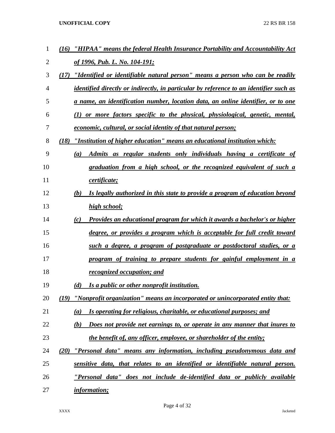| 1  | "HIPAA" means the federal Health Insurance Portability and Accountability Act<br>(16)         |
|----|-----------------------------------------------------------------------------------------------|
| 2  | of 1996, Pub. L. No. 104-191;                                                                 |
| 3  | "Identified or identifiable natural person" means a person who can be readily<br>(17)         |
| 4  | <i>identified directly or indirectly, in particular by reference to an identifier such as</i> |
| 5  | a name, an identification number, location data, an online identifier, or to one              |
| 6  | (1) or more factors specific to the physical, physiological, genetic, mental,                 |
| 7  | <u>economic, cultural, or social identity of that natural person;</u>                         |
| 8  | (18)<br>"Institution of higher education" means an educational institution which:             |
| 9  | Admits as regular students only individuals having a certificate of<br>(a)                    |
| 10 | graduation from a high school, or the recognized equivalent of such a                         |
| 11 | certificate;                                                                                  |
| 12 | (b)<br>Is legally authorized in this state to provide a program of education beyond           |
| 13 | high school;                                                                                  |
| 14 | Provides an educational program for which it awards a bachelor's or higher<br>(c)             |
| 15 | degree, or provides a program which is acceptable for full credit toward                      |
| 16 | such a degree, a program of postgraduate or postdoctoral studies, or a                        |
| 17 | program of training to prepare students for gainful employment in a                           |
| 18 | recognized occupation; and                                                                    |
| 19 | (d)<br>Is a public or other nonprofit institution.                                            |
| 20 | (19) "Nonprofit organization" means an incorporated or unincorporated entity that:            |
| 21 | Is operating for religious, charitable, or educational purposes; and<br>(a)                   |
| 22 | Does not provide net earnings to, or operate in any manner that inures to<br>(b)              |
| 23 | the benefit of, any officer, employee, or shareholder of the entity;                          |
| 24 | <u>"Personal data" means any information, including pseudonymous data and</u><br>(20)         |
| 25 | sensitive data, that relates to an identified or identifiable natural person.                 |
| 26 | "Personal data" does not include de-identified data or publicly available                     |
| 27 | <i>information;</i>                                                                           |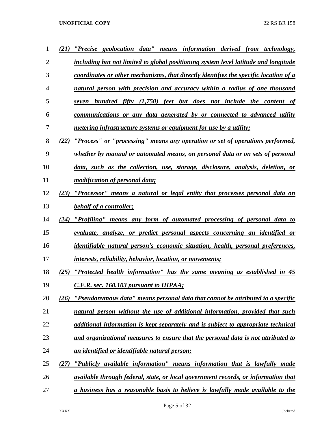| 1              | (21) "Precise geolocation data" means information derived from technology,              |
|----------------|-----------------------------------------------------------------------------------------|
| $\overline{2}$ | including but not limited to global positioning system level latitude and longitude     |
| 3              | coordinates or other mechanisms, that directly identifies the specific location of a    |
| 4              | natural person with precision and accuracy within a radius of one thousand              |
| 5              | seven hundred fifty (1,750) feet but does not include the content of                    |
| 6              | communications or any data generated by or connected to advanced utility                |
| 7              | <i>metering infrastructure systems or equipment for use by a utility;</i>               |
| 8              | (22) "Process" or "processing" means any operation or set of operations performed,      |
| 9              | whether by manual or automated means, on personal data or on sets of personal           |
| 10             | data, such as the collection, use, storage, disclosure, analysis, deletion, or          |
| 11             | modification of personal data;                                                          |
| 12             | (23) "Processor" means a natural or legal entity that processes personal data on        |
| 13             | behalf of a controller;                                                                 |
| 14             | (24) "Profiling" means any form of automated processing of personal data to             |
| 15             | evaluate, analyze, or predict personal aspects concerning an identified or              |
| 16             | <i>identifiable natural person's economic situation, health, personal preferences,</i>  |
| 17             | <i>interests, reliability, behavior, location, or movements;</i>                        |
| 18             | (25) "Protected health information" has the same meaning as established in 45           |
| 19             | C.F.R. sec. 160.103 pursuant to HIPAA;                                                  |
| 20             | "Pseudonymous data" means personal data that cannot be attributed to a specific<br>(26) |
| 21             | natural person without the use of additional information, provided that such            |
| 22             | additional information is kept separately and is subject to appropriate technical       |
| 23             | and organizational measures to ensure that the personal data is not attributed to       |
| 24             | an identified or identifiable natural person;                                           |
| 25             | "Publicly available information" means information that is lawfully made<br>(27)        |
| 26             | available through federal, state, or local government records, or information that      |
| 27             | a business has a reasonable basis to believe is lawfully made available to the          |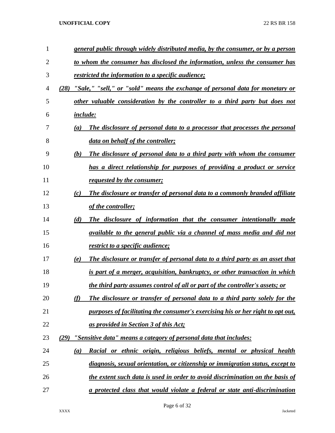| $\mathbf{1}$   | general public through widely distributed media, by the consumer, or by a person      |  |
|----------------|---------------------------------------------------------------------------------------|--|
| $\overline{2}$ | to whom the consumer has disclosed the information, unless the consumer has           |  |
| 3              | <i>restricted the information to a specific audience;</i>                             |  |
| 4              | "Sale," "sell," or "sold" means the exchange of personal data for monetary or<br>(28) |  |
| 5              | other valuable consideration by the controller to a third party but does not          |  |
| 6              | <i>include:</i>                                                                       |  |
| 7              | The disclosure of personal data to a processor that processes the personal<br>(a)     |  |
| 8              | data on behalf of the controller;                                                     |  |
| 9              | (b)<br>The disclosure of personal data to a third party with whom the consumer        |  |
| 10             | has a direct relationship for purposes of providing a product or service              |  |
| 11             | requested by the consumer;                                                            |  |
| 12             | The disclosure or transfer of personal data to a commonly branded affiliate<br>(c)    |  |
| 13             | of the controller;                                                                    |  |
| 14             | (d)<br>The disclosure of information that the consumer intentionally made             |  |
| 15             | available to the general public via a channel of mass media and did not               |  |
| 16             | <u>restrict to a specific audience;</u>                                               |  |
| 17             | The disclosure or transfer of personal data to a third party as an asset that<br>(e)  |  |
| 18             | is part of a merger, acquisition, bankruptcy, or other transaction in which           |  |
| 19             | <u>the third party assumes control of all or part of the controller's assets; or</u>  |  |
| 20             | (f)<br>The disclosure or transfer of personal data to a third party solely for the    |  |
| 21             | purposes of facilitating the consumer's exercising his or her right to opt out,       |  |
| 22             | <u>as provided in Section 3 of this Act;</u>                                          |  |
| 23             | "Sensitive data" means a category of personal data that includes:<br>(29)             |  |
| 24             | Racial or ethnic origin, religious beliefs, mental or physical health<br>(a)          |  |
| 25             | <u>diagnosis, sexual orientation, or citizenship or immigration status, except to</u> |  |
| 26             | the extent such data is used in order to avoid discrimination on the basis of         |  |
| 27             | a protected class that would violate a federal or state anti-discrimination           |  |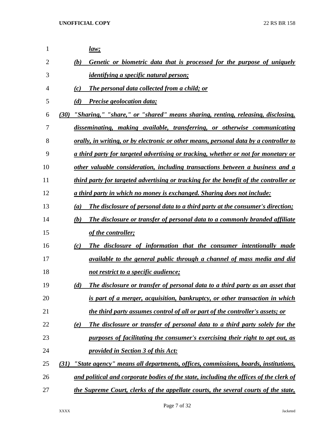| 1              | <u>law;</u>                                                                                  |
|----------------|----------------------------------------------------------------------------------------------|
| $\overline{2}$ | Genetic or biometric data that is processed for the purpose of uniquely<br>(b)               |
| 3              | <i>identifying a specific natural person;</i>                                                |
| $\overline{4}$ | The personal data collected from a child; or<br>(c)                                          |
| 5              | (d)<br>Precise geolocation data;                                                             |
| 6              | "Sharing," "share," or "shared" means sharing, renting, releasing, disclosing,<br>(30)       |
| 7              | disseminating, making available, transferring, or otherwise communicating                    |
| 8              | <u>orally, in writing, or by electronic or other means, personal data by a controller to</u> |
| 9              | a third party for targeted advertising or tracking, whether or not for monetary or           |
| 10             | other valuable consideration, including transactions between a business and a                |
| 11             | third party for targeted advertising or tracking for the benefit of the controller or        |
| 12             | a third party in which no money is exchanged. Sharing does not include:                      |
| 13             | (a)<br>The disclosure of personal data to a third party at the consumer's direction;         |
| 14             | The disclosure or transfer of personal data to a commonly branded affiliate<br>(b)           |
| 15             | of the controller;                                                                           |
| 16             | The disclosure of information that the consumer intentionally made<br>(c)                    |
| 17             | available to the general public through a channel of mass media and did                      |
| 18             | not restrict to a specific audience;                                                         |
| 19             | The disclosure or transfer of personal data to a third party as an asset that<br>(d)         |
| 20             | is part of a merger, acquisition, bankruptcy, or other transaction in which                  |
| 21             | the third party assumes control of all or part of the controller's assets; or                |
| 22             | The disclosure or transfer of personal data to a third party solely for the<br>(e)           |
| 23             | purposes of facilitating the consumer's exercising their right to opt out, as                |
| 24             | provided in Section 3 of this Act:                                                           |
| 25             | "State agency" means all departments, offices, commissions, boards, institutions,<br>(31)    |
| 26             | and political and corporate bodies of the state, including the offices of the clerk of       |
| 27             | the Supreme Court, clerks of the appellate courts, the several courts of the state,          |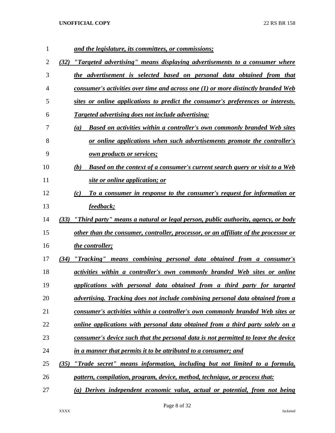| 1  | and the legislature, its committees, or commissions;                                            |
|----|-------------------------------------------------------------------------------------------------|
| 2  | (32) "Targeted advertising" means displaying advertisements to a consumer where                 |
| 3  | the advertisement is selected based on personal data obtained from that                         |
| 4  | consumer's activities over time and across one (1) or more distinctly branded Web               |
| 5  | sites or online applications to predict the consumer's preferences or interests.                |
| 6  | <b>Targeted advertising does not include advertising:</b>                                       |
| 7  | <b>Based on activities within a controller's own commonly branded Web sites</b><br>(a)          |
| 8  | or online applications when such advertisements promote the controller's                        |
| 9  | <u>own products or services;</u>                                                                |
| 10 | Based on the context of a consumer's current search query or visit to a Web<br>(b)              |
| 11 | site or online application; or                                                                  |
| 12 | To a consumer in response to the consumer's request for information or<br>(c)                   |
| 13 | feedback;                                                                                       |
| 14 | <u>"Third party" means a natural or legal person, public authority, agency, or body</u><br>(33) |
| 15 | other than the consumer, controller, processor, or an affiliate of the processor or             |
| 16 | the controller;                                                                                 |
| 17 | (34) "Tracking" means combining personal data obtained from a consumer's                        |
| 18 | <i>activities within a controller's own commonly branded Web sites or online</i>                |
| 19 | applications with personal data obtained from a third party for targeted                        |
| 20 | advertising. Tracking does not include combining personal data obtained from a                  |
| 21 | consumer's activities within a controller's own commonly branded Web sites or                   |
| 22 | online applications with personal data obtained from a third party solely on a                  |
| 23 | consumer's device such that the personal data is not permitted to leave the device              |
| 24 | in a manner that permits it to be attributed to a consumer; and                                 |
| 25 | "Trade secret" means information, including but not limited to a formula,<br>(35)               |
| 26 | pattern, compilation, program, device, method, technique, or process that:                      |
| 27 | (a) Derives independent economic value, actual or potential, from not being                     |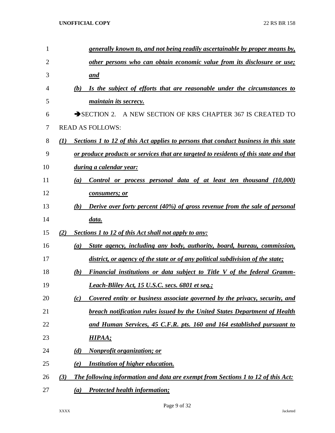| $\mathbf{1}$   | generally known to, and not being readily ascertainable by proper means by,                             |  |
|----------------|---------------------------------------------------------------------------------------------------------|--|
| $\overline{2}$ | other persons who can obtain economic value from its disclosure or use;                                 |  |
| 3              | <u>and</u>                                                                                              |  |
| 4              | Is the subject of efforts that are reasonable under the circumstances to<br>(b)                         |  |
| 5              | <i>maintain its secrecy.</i>                                                                            |  |
| 6              | SECTION 2. A NEW SECTION OF KRS CHAPTER 367 IS CREATED TO                                               |  |
| 7              | <b>READ AS FOLLOWS:</b>                                                                                 |  |
| 8              | Sections 1 to 12 of this Act applies to persons that conduct business in this state<br>$\mathcal{L}(I)$ |  |
| 9              | or produce products or services that are targeted to residents of this state and that                   |  |
| 10             | <u>during a calendar year:</u>                                                                          |  |
| 11             | Control or process personal data of at least ten thousand (10,000)<br>(a)                               |  |
| 12             | consumers; or                                                                                           |  |
| 13             | Derive over forty percent (40%) of gross revenue from the sale of personal<br>(b)                       |  |
| 14             | <u>data.</u>                                                                                            |  |
| 15             | (2)<br><b>Sections 1 to 12 of this Act shall not apply to any:</b>                                      |  |
| 16             | State agency, including any body, authority, board, bureau, commission,<br>(a)                          |  |
| 17             | district, or agency of the state or of any political subdivision of the state;                          |  |
| 18             | Financial institutions or data subject to Title V of the federal Gramm-<br>(b)                          |  |
| 19             | <b>Leach-Bliley Act, 15 U.S.C. secs. 6801 et seq.;</b>                                                  |  |
| 20             | Covered entity or business associate governed by the privacy, security, and<br>(c)                      |  |
| 21             | <b>breach notification rules issued by the United States Department of Health</b>                       |  |
| 22             | and Human Services, 45 C.F.R. pts. 160 and 164 established pursuant to                                  |  |
| 23             | HIPAA;                                                                                                  |  |
| 24             | <b>Nonprofit organization; or</b><br>(d)                                                                |  |
| 25             | <b>Institution of higher education.</b><br>(e)                                                          |  |
| 26             | The following information and data are exempt from Sections 1 to 12 of this Act:<br>(3)                 |  |
| 27             | <b>Protected health information;</b><br>(a)                                                             |  |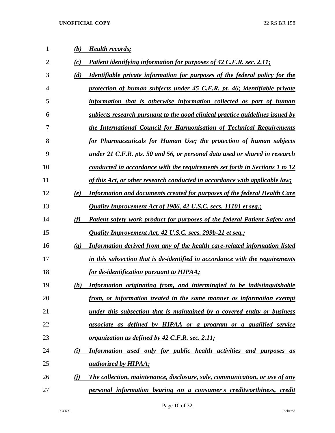| 1  | (b)                         | <b>Health records;</b>                                                             |
|----|-----------------------------|------------------------------------------------------------------------------------|
| 2  | (c)                         | Patient identifying information for purposes of 42 C.F.R. sec. 2.11;               |
| 3  | (d)                         | <u>Identifiable private information for purposes of the federal policy for the</u> |
| 4  |                             | protection of human subjects under 45 C.F.R. pt. 46; identifiable private          |
| 5  |                             | information that is otherwise information collected as part of human               |
| 6  |                             | subjects research pursuant to the good clinical practice guidelines issued by      |
| 7  |                             | the International Council for Harmonisation of Technical Requirements              |
| 8  |                             | for Pharmaceuticals for Human Use; the protection of human subjects                |
| 9  |                             | under 21 C.F.R. pts. 50 and 56, or personal data used or shared in research        |
| 10 |                             | conducted in accordance with the requirements set forth in Sections 1 to 12        |
| 11 |                             | of this Act, or other research conducted in accordance with applicable law;        |
| 12 | (e)                         | <b>Information and documents created for purposes of the federal Health Care</b>   |
| 13 |                             | Quality Improvement Act of 1986, 42 U.S.C. secs. 11101 et seq.;                    |
| 14 | (f)                         | Patient safety work product for purposes of the federal Patient Safety and         |
| 15 |                             | Quality Improvement Act, 42 U.S.C. secs. 299b-21 et seq.;                          |
| 16 | $\left( \mathbf{g} \right)$ | Information derived from any of the health care-related information listed         |
| 17 |                             | in this subsection that is de-identified in accordance with the requirements       |
| 18 |                             | for de-identification pursuant to HIPAA;                                           |
| 19 | (h)                         | Information originating from, and intermingled to be indistinguishable             |
| 20 |                             | from, or information treated in the same manner as information exempt              |
| 21 |                             | <u>under this subsection that is maintained by a covered entity or business</u>    |
| 22 |                             | associate as defined by HIPAA or a program or a qualified service                  |
| 23 |                             | <u>organization as defined by 42 C.F.R. sec. 2.11;</u>                             |
| 24 | (i)                         | Information used only for public health activities and purposes as                 |
| 25 |                             | <i>authorized by HIPAA;</i>                                                        |
| 26 | $\bf(i)$                    | The collection, maintenance, disclosure, sale, communication, or use of any        |
| 27 |                             | personal information bearing on a consumer's creditworthiness, credit              |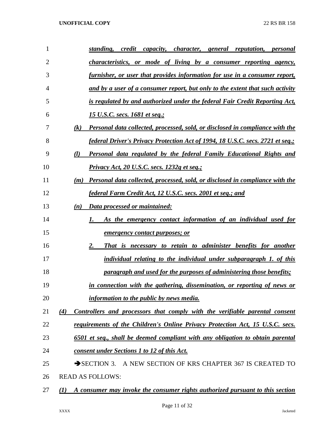| 1              | standing,<br>credit<br>capacity, character, general reputation, personal                          |
|----------------|---------------------------------------------------------------------------------------------------|
| $\overline{2}$ | <i>characteristics, or mode of living by a consumer reporting agency,</i>                         |
| 3              | <u>furnisher, or user that provides information for use in a consumer report,</u>                 |
| 4              | and by a user of a consumer report, but only to the extent that such activity                     |
| 5              | is regulated by and authorized under the federal Fair Credit Reporting Act,                       |
| 6              | 15 U.S.C. secs. 1681 et seq.;                                                                     |
| 7              | (k)<br>Personal data collected, processed, sold, or disclosed in compliance with the              |
| 8              | <i>federal Driver's Privacy Protection Act of 1994, 18 U.S.C. secs. 2721 et seq.;</i>             |
| 9              | (l)<br>Personal data regulated by the federal Family Educational Rights and                       |
| 10             | Privacy Act, 20 U.S.C. secs. 1232g et seq.;                                                       |
| 11             | <b>Personal data collected, processed, sold, or disclosed in compliance with the</b><br>(m)       |
| 12             | federal Farm Credit Act, 12 U.S.C. secs. 2001 et seq.; and                                        |
| 13             | Data processed or maintained:<br>(n)                                                              |
| 14             | As the emergency contact information of an individual used for<br>1.                              |
| 15             | <i>emergency contact purposes; or</i>                                                             |
| 16             | 2.<br>That is necessary to retain to administer benefits for another                              |
| 17             | individual relating to the individual under subparagraph 1. of this                               |
| 18             | paragraph and used for the purposes of administering those benefits;                              |
| 19             | in connection with the gathering, dissemination, or reporting of news or                          |
| 20             | information to the public by news media.                                                          |
| 21             | (4)<br>Controllers and processors that comply with the verifiable parental consent                |
| 22             | requirements of the Children's Online Privacy Protection Act, 15 U.S.C. secs.                     |
| 23             | 6501 et seq., shall be deemed compliant with any obligation to obtain parental                    |
| 24             | consent under Sections 1 to 12 of this Act.                                                       |
| 25             | A NEW SECTION OF KRS CHAPTER 367 IS CREATED TO<br>$\rightarrow$ SECTION 3.                        |
| 26             | <b>READ AS FOLLOWS:</b>                                                                           |
| 27             | A consumer may invoke the consumer rights authorized pursuant to this section<br>$\mathcal{L}(I)$ |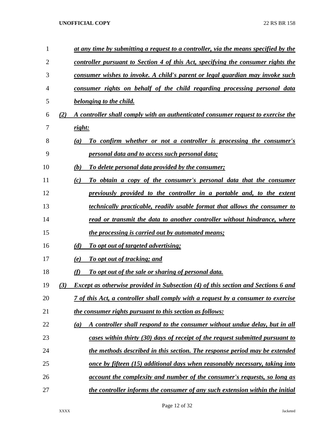| 1  |     | at any time by submitting a request to a controller, via the means specified by the      |
|----|-----|------------------------------------------------------------------------------------------|
| 2  |     | controller pursuant to Section 4 of this Act, specifying the consumer rights the         |
| 3  |     | consumer wishes to invoke. A child's parent or legal guardian may invoke such            |
| 4  |     | consumer rights on behalf of the child regarding processing personal data                |
| 5  |     | belonging to the child.                                                                  |
| 6  | (2) | A controller shall comply with an authenticated consumer request to exercise the         |
| 7  |     | right:                                                                                   |
| 8  |     | To confirm whether or not a controller is processing the consumer's<br>(a)               |
| 9  |     | personal data and to access such personal data;                                          |
| 10 |     | (b)<br>To delete personal data provided by the consumer;                                 |
| 11 |     | (c)<br>To obtain a copy of the consumer's personal data that the consumer                |
| 12 |     | previously provided to the controller in a portable and, to the extent                   |
| 13 |     | technically practicable, readily usable format that allows the consumer to               |
| 14 |     | read or transmit the data to another controller without hindrance, where                 |
| 15 |     | <i>the processing is carried out by automated means;</i>                                 |
| 16 |     | (d)<br><u>To opt out of targeted advertising:</u>                                        |
| 17 |     | To opt out of tracking; and<br>(e)                                                       |
| 18 |     | (f)<br>To opt out of the sale or sharing of personal data.                               |
| 19 | (3) | <b>Except as otherwise provided in Subsection (4) of this section and Sections 6 and</b> |
| 20 |     | <u>7 of this Act, a controller shall comply with a request by a consumer to exercise</u> |
| 21 |     | the consumer rights pursuant to this section as follows:                                 |
| 22 |     | A controller shall respond to the consumer without undue delay, but in all<br>(a)        |
| 23 |     | cases within thirty (30) days of receipt of the request submitted pursuant to            |
| 24 |     | the methods described in this section. The response period may be extended               |
| 25 |     | once by fifteen (15) additional days when reasonably necessary, taking into              |
| 26 |     | <u>account the complexity and number of the consumer's requests, so long as</u>          |
| 27 |     | the controller informs the consumer of any such extension within the initial             |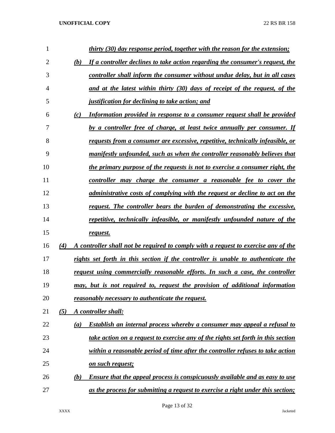| 1              | thirty (30) day response period, together with the reason for the extension;               |
|----------------|--------------------------------------------------------------------------------------------|
| $\overline{2}$ | If a controller declines to take action regarding the consumer's request, the<br>(b)       |
| 3              | controller shall inform the consumer without undue delay, but in all cases                 |
| $\overline{4}$ | and at the latest within thirty (30) days of receipt of the request, of the                |
| 5              | <i>justification for declining to take action; and</i>                                     |
| 6              | (c)<br>Information provided in response to a consumer request shall be provided            |
| 7              | by a controller free of charge, at least twice annually per consumer. If                   |
| 8              | requests from a consumer are excessive, repetitive, technically infeasible, or             |
| 9              | manifestly unfounded, such as when the controller reasonably believes that                 |
| 10             | the primary purpose of the requests is not to exercise a consumer right, the               |
| 11             | controller may charge the consumer a reasonable fee to cover the                           |
| 12             | <i>administrative costs of complying with the request or decline to act on the</i>         |
| 13             | request. The controller bears the burden of demonstrating the excessive,                   |
| 14             | repetitive, technically infeasible, or manifestly unfounded nature of the                  |
| 15             | request.                                                                                   |
| 16             | A controller shall not be required to comply with a request to exercise any of the<br>(4)  |
| 17             | rights set forth in this section if the controller is unable to authenticate the           |
| 18             | request using commercially reasonable efforts. In such a case, the controller              |
| 19             | may, but is not required to, request the provision of additional information               |
| 20             | reasonably necessary to authenticate the request.                                          |
| 21             | (5)<br>A controller shall:                                                                 |
| 22             | Establish an internal process whereby a consumer may appeal a refusal to<br>(a)            |
| 23             | take action on a request to exercise any of the rights set forth in this section           |
| 24             | within a reasonable period of time after the controller refuses to take action             |
| 25             | <u>on such request;</u>                                                                    |
| 26             | <b>Ensure that the appeal process is conspicuously available and as easy to use</b><br>(b) |
| 27             | as the process for submitting a request to exercise a right under this section;            |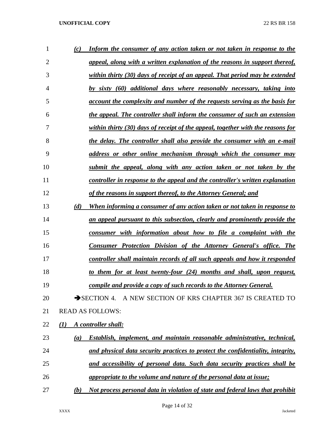| 1  | (c)              | Inform the consumer of any action taken or not taken in response to the              |
|----|------------------|--------------------------------------------------------------------------------------|
| 2  |                  | <u>appeal, along with a written explanation of the reasons in support thereof,</u>   |
| 3  |                  | within thirty (30) days of receipt of an appeal. That period may be extended         |
| 4  |                  | by sixty (60) additional days where reasonably necessary, taking into                |
| 5  |                  | account the complexity and number of the requests serving as the basis for           |
| 6  |                  | the appeal. The controller shall inform the consumer of such an extension            |
| 7  |                  | within thirty (30) days of receipt of the appeal, together with the reasons for      |
| 8  |                  | <u>the delay. The controller shall also provide the consumer with an e-mail</u>      |
| 9  |                  | address or other online mechanism through which the consumer may                     |
| 10 |                  | submit the appeal, along with any action taken or not taken by the                   |
| 11 |                  | <u>controller in response to the appeal and the controller's written explanation</u> |
| 12 |                  | of the reasons in support thereof, to the Attorney General; and                      |
| 13 | (d)              | When informing a consumer of any action taken or not taken in response to            |
| 14 |                  | an appeal pursuant to this subsection, clearly and prominently provide the           |
| 15 |                  | consumer with information about how to file a complaint with the                     |
| 16 |                  | <b>Consumer Protection Division of the Attorney General's office. The</b>            |
| 17 |                  | <u>controller shall maintain records of all such appeals and how it responded</u>    |
| 18 |                  | to them for at least twenty-four (24) months and shall, upon request,                |
| 19 |                  | compile and provide a copy of such records to the Attorney General.                  |
| 20 |                  | SECTION 4. A NEW SECTION OF KRS CHAPTER 367 IS CREATED TO                            |
| 21 |                  | <b>READ AS FOLLOWS:</b>                                                              |
| 22 | $\mathcal{L}(I)$ | A controller shall:                                                                  |
| 23 | (a)              | <b>Establish, implement, and maintain reasonable administrative, technical,</b>      |
| 24 |                  | and physical data security practices to protect the confidentiality, integrity,      |
| 25 |                  | and accessibility of personal data. Such data security practices shall be            |
| 26 |                  | appropriate to the volume and nature of the personal data at issue;                  |
| 27 | (b)              | Not process personal data in violation of state and federal laws that prohibit       |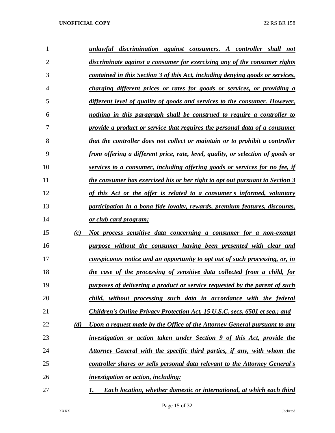| 1  |     | unlawful discrimination against consumers. A controller shall not                  |
|----|-----|------------------------------------------------------------------------------------|
| 2  |     | discriminate against a consumer for exercising any of the consumer rights          |
| 3  |     | contained in this Section 3 of this Act, including denying goods or services,      |
| 4  |     | charging different prices or rates for goods or services, or providing a           |
| 5  |     | different level of quality of goods and services to the consumer. However,         |
| 6  |     | nothing in this paragraph shall be construed to require a controller to            |
| 7  |     | provide a product or service that requires the personal data of a consumer         |
| 8  |     | that the controller does not collect or maintain or to prohibit a controller       |
| 9  |     | from offering a different price, rate, level, quality, or selection of goods or    |
| 10 |     | services to a consumer, including offering goods or services for no fee, if        |
| 11 |     | the consumer has exercised his or her right to opt out pursuant to Section 3       |
| 12 |     | of this Act or the offer is related to a consumer's informed, voluntary            |
| 13 |     | participation in a bona fide loyalty, rewards, premium features, discounts,        |
| 14 |     | <u>or club card program;</u>                                                       |
| 15 | (c) | Not process sensitive data concerning a consumer for a non-exempt                  |
| 16 |     | purpose without the consumer having been presented with clear and                  |
| 17 |     | <u>conspicuous notice and an opportunity to opt out of such processing, or, in</u> |
| 18 |     | the case of the processing of sensitive data collected from a child, for           |
| 19 |     | purposes of delivering a product or service requested by the parent of such        |
| 20 |     | child, without processing such data in accordance with the federal                 |
| 21 |     | Children's Online Privacy Protection Act, 15 U.S.C. secs. 6501 et seq.; and        |
| 22 | (d) | Upon a request made by the Office of the Attorney General pursuant to any          |
| 23 |     | investigation or action taken under Section 9 of this Act, provide the             |
| 24 |     | <u>Attorney General with the specific third parties, if any, with whom the</u>     |
| 25 |     | controller shares or sells personal data relevant to the Attorney General's        |
| 26 |     | <i>investigation or action, including:</i>                                         |
| 27 |     | <b>Each location, whether domestic or international, at which each third</b><br>1. |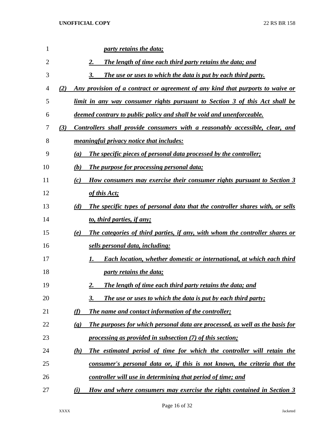| 1              | party retains the data;                                                                                     |
|----------------|-------------------------------------------------------------------------------------------------------------|
| $\overline{2}$ | 2.<br><b>The length of time each third party retains the data; and</b>                                      |
| 3              | The use or uses to which the data is put by each third party.<br>3.                                         |
| 4              | Any provision of a contract or agreement of any kind that purports to waive or<br>(2)                       |
| 5              | limit in any way consumer rights pursuant to Section 3 of this Act shall be                                 |
| 6              | <u>deemed contrary to public policy and shall be void and unenforceable.</u>                                |
| 7              | Controllers shall provide consumers with a reasonably accessible, clear, and<br>(3)                         |
| 8              | meaningful privacy notice that includes:                                                                    |
| 9              | The specific pieces of personal data processed by the controller;<br>(a)                                    |
| 10             | The purpose for processing personal data;<br>(b)                                                            |
| 11             | <u>How consumers may exercise their consumer rights pursuant to Section 3</u><br>(c)                        |
| 12             | of this Act;                                                                                                |
| 13             | The specific types of personal data that the controller shares with, or sells<br>(d)                        |
| 14             | to, third parties, if any;                                                                                  |
| 15             | The categories of third parties, if any, with whom the controller shares or<br>(e)                          |
| 16             | sells personal data, including:                                                                             |
| 17             | <b>Each location, whether domestic or international, at which each third</b><br>1.                          |
| 18             | <i>party retains the data;</i>                                                                              |
| 19             | <b>The length of time each third party retains the data; and</b><br>2.                                      |
| 20             | <b>The use or uses to which the data is put by each third party;</b><br>3.                                  |
| 21             | (f)<br>The name and contact information of the controller;                                                  |
| 22             | The purposes for which personal data are processed, as well as the basis for<br>$\left( \mathbf{g} \right)$ |
| 23             | processing as provided in subsection (7) of this section;                                                   |
| 24             | The estimated period of time for which the controller will retain the<br>(h)                                |
| 25             | consumer's personal data or, if this is not known, the criteria that the                                    |
| 26             | <u>controller will use in determining that period of time; and</u>                                          |
| 27             | How and where consumers may exercise the rights contained in Section 3<br>(i)                               |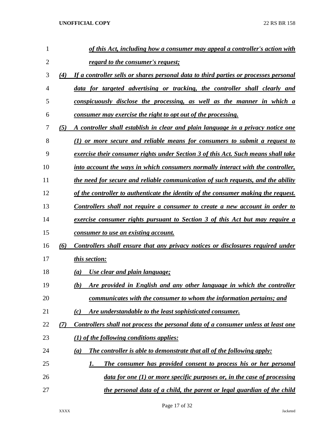| 1              |     | of this Act, including how a consumer may appeal a controller's action with          |
|----------------|-----|--------------------------------------------------------------------------------------|
| $\overline{2}$ |     | regard to the consumer's request;                                                    |
| 3              | (4) | If a controller sells or shares personal data to third parties or processes personal |
| 4              |     | data for targeted advertising or tracking, the controller shall clearly and          |
| 5              |     | conspicuously disclose the processing, as well as the manner in which a              |
| 6              |     | consumer may exercise the right to opt out of the processing.                        |
| 7              | (5) | A controller shall establish in clear and plain language in a privacy notice one     |
| 8              |     | $(1)$ or more secure and reliable means for consumers to submit a request to         |
| 9              |     | exercise their consumer rights under Section 3 of this Act. Such means shall take    |
| 10             |     | into account the ways in which consumers normally interact with the controller,      |
| 11             |     | the need for secure and reliable communication of such requests, and the ability     |
| 12             |     | of the controller to authenticate the identity of the consumer making the request.   |
| 13             |     | Controllers shall not require a consumer to create a new account in order to         |
| 14             |     | <u>exercise consumer rights pursuant to Section 3 of this Act but may require a</u>  |
| 15             |     | consumer to use an existing account.                                                 |
| 16             | (6) | Controllers shall ensure that any privacy notices or disclosures required under      |
| 17             |     | this section:                                                                        |
| 18             |     | Use clear and plain language;<br>(a)                                                 |
| 19             |     | Are provided in English and any other language in which the controller<br>(b)        |
| 20             |     | communicates with the consumer to whom the information pertains; and                 |
| 21             |     | Are understandable to the least sophisticated consumer.<br>(c)                       |
| 22             | (7) | Controllers shall not process the personal data of a consumer unless at least one    |
| 23             |     | $(1)$ of the following conditions applies:                                           |
| 24             |     | The controller is able to demonstrate that all of the following apply:<br>(a)        |
| 25             |     | The consumer has provided consent to process his or her personal<br>1.               |
| 26             |     | $data for one (1) or more specific purposes or, in the case of processing$           |
| 27             |     | the personal data of a child, the parent or legal guardian of the child              |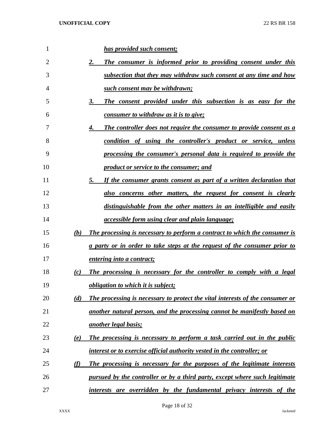| 1  |          | has provided such consent;                                                       |
|----|----------|----------------------------------------------------------------------------------|
| 2  |          | The consumer is informed prior to providing consent under this<br>2.             |
| 3  |          | subsection that they may withdraw such consent at any time and how               |
| 4  |          | such consent may be withdrawn;                                                   |
| 5  |          | The consent provided under this subsection is as easy for the<br>3.              |
| 6  |          | consumer to withdraw as it is to give;                                           |
| 7  |          | The controller does not require the consumer to provide consent as a<br>4.       |
| 8  |          | condition of using the controller's product or service, unless                   |
| 9  |          | processing the consumer's personal data is required to provide the               |
| 10 |          | <i>product or service to the consumer; and</i>                                   |
| 11 |          | If the consumer grants consent as part of a written declaration that<br>5.       |
| 12 |          | also concerns other matters, the request for consent is clearly                  |
| 13 |          | distinguishable from the other matters in an intelligible and easily             |
| 14 |          | <i><u><b>accessible form using clear and plain language;</b></u></i>             |
| 15 | (b)      | The processing is necessary to perform a contract to which the consumer is       |
| 16 |          | <u>a party or in order to take steps at the request of the consumer prior to</u> |
| 17 |          | <i>entering into a contract;</i>                                                 |
| 18 | (c)      | The processing is necessary for the controller to comply with a legal            |
| 19 |          | <i>obligation to which it is subject;</i>                                        |
| 20 | (d)      | The processing is necessary to protect the vital interests of the consumer or    |
| 21 |          | another natural person, and the processing cannot be manifestly based on         |
| 22 |          | <u>another legal basis;</u>                                                      |
| 23 | (e)      | The processing is necessary to perform a task carried out in the public          |
| 24 |          | interest or to exercise official authority vested in the controller; or          |
| 25 | $\omega$ | The processing is necessary for the purposes of the legitimate interests         |
| 26 |          | pursued by the controller or by a third party, except where such legitimate      |
| 27 |          | interests are overridden by the fundamental privacy interests of the             |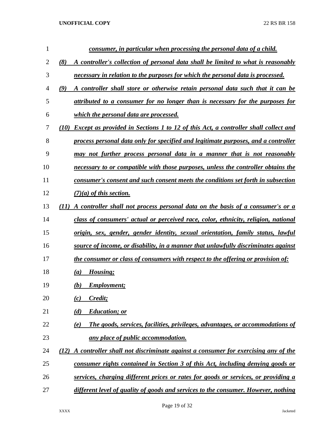| $\mathbf{1}$ | consumer, in particular when processing the personal data of a child.                             |
|--------------|---------------------------------------------------------------------------------------------------|
| 2            | (8)<br>A controller's collection of personal data shall be limited to what is reasonably          |
| 3            | necessary in relation to the purposes for which the personal data is processed.                   |
| 4            | (9)<br>A controller shall store or otherwise retain personal data such that it can be             |
| 5            | attributed to a consumer for no longer than is necessary for the purposes for                     |
| 6            | which the personal data are processed.                                                            |
| 7            | <b>Except as provided in Sections 1 to 12 of this Act, a controller shall collect and</b><br>(10) |
| 8            | process personal data only for specified and legitimate purposes, and a controller                |
| 9            | may not further process personal data in a manner that is not reasonably                          |
| 10           | necessary to or compatible with those purposes, unless the controller obtains the                 |
| 11           | consumer's consent and such consent meets the conditions set forth in subsection                  |
| 12           | $(7)(a)$ of this section.                                                                         |
| 13           | A controller shall not process personal data on the basis of a consumer's or a<br>(11)            |
| 14           | class of consumers' actual or perceived race, color, ethnicity, religion, national                |
| 15           | origin, sex, gender, gender identity, sexual orientation, family status, lawful                   |
| 16           | source of income, or disability, in a manner that unlawfully discriminates against                |
| 17           | the consumer or class of consumers with respect to the offering or provision of:                  |
| 18           | Housing;<br>(a)                                                                                   |
| 19           | <b>Employment;</b><br>(b)                                                                         |
| 20           | Credit;<br>(c)                                                                                    |
| 21           | (d)<br><b>Education</b> ; or                                                                      |
| 22           | The goods, services, facilities, privileges, advantages, or accommodations of<br>(e)              |
| 23           | <u>any place of public accommodation.</u>                                                         |
| 24           | A controller shall not discriminate against a consumer for exercising any of the<br>(12)          |
| 25           | consumer rights contained in Section 3 of this Act, including denying goods or                    |
| 26           | services, charging different prices or rates for goods or services, or providing a                |
| 27           | different level of quality of goods and services to the consumer. However, nothing                |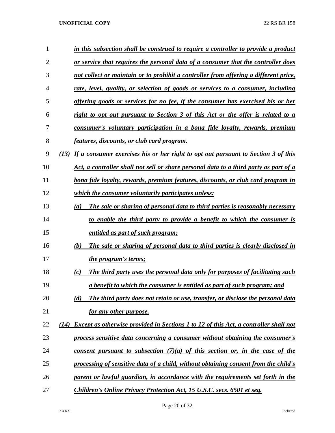| 1              | in this subsection shall be construed to require a controller to provide a product                  |
|----------------|-----------------------------------------------------------------------------------------------------|
| $\overline{2}$ | <u>or service that requires the personal data of a consumer that the controller does</u>            |
| 3              | not collect or maintain or to prohibit a controller from offering a different price,                |
| 4              | rate, level, quality, or selection of goods or services to a consumer, including                    |
| 5              | <u>offering goods or services for no fee, if the consumer has exercised his or her</u>              |
| 6              | right to opt out pursuant to Section 3 of this Act or the offer is related to a                     |
| 7              | consumer's voluntary participation in a bona fide loyalty, rewards, premium                         |
| 8              | <u>features, discounts, or club card program.</u>                                                   |
| 9              | If a consumer exercises his or her right to opt out pursuant to Section 3 of this<br>(13)           |
| 10             | Act, a controller shall not sell or share personal data to a third party as part of a               |
| 11             | bona fide loyalty, rewards, premium features, discounts, or club card program in                    |
| 12             | <i>which the consumer voluntarily participates unless:</i>                                          |
| 13             | The sale or sharing of personal data to third parties is reasonably necessary<br>(a)                |
| 14             | to enable the third party to provide a benefit to which the consumer is                             |
| 15             | entitled as part of such program;                                                                   |
| 16             | The sale or sharing of personal data to third parties is clearly disclosed in<br>(b)                |
| 17             | <i>the program's terms;</i>                                                                         |
| 18             | The third party uses the personal data only for purposes of facilitating such<br>(c)                |
| 19             | <u>a benefit to which the consumer is entitled as part of such program; and</u>                     |
| 20             | The third party does not retain or use, transfer, or disclose the personal data<br>(d)              |
| 21             | for any other purpose.                                                                              |
| 22             | <b>Except as otherwise provided in Sections 1 to 12 of this Act, a controller shall not</b><br>(14) |
| 23             | process sensitive data concerning a consumer without obtaining the consumer's                       |
| 24             | <u>consent pursuant to subsection <math>(7)(a)</math> of this section or, in the case of the</u>    |
| 25             | processing of sensitive data of a child, without obtaining consent from the child's                 |
| 26             | parent or lawful guardian, in accordance with the requirements set forth in the                     |
| 27             | Children's Online Privacy Protection Act, 15 U.S.C. secs. 6501 et seq.                              |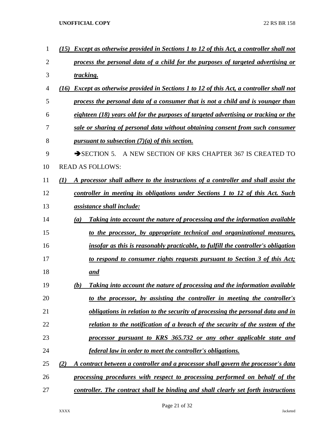| 1              | <b>Except as otherwise provided in Sections 1 to 12 of this Act, a controller shall not</b><br>(15) |
|----------------|-----------------------------------------------------------------------------------------------------|
| $\overline{2}$ | process the personal data of a child for the purposes of targeted advertising or                    |
| 3              | tracking.                                                                                           |
| $\overline{4}$ | <b>Except as otherwise provided in Sections 1 to 12 of this Act, a controller shall not</b><br>(16) |
| 5              | process the personal data of a consumer that is not a child and is younger than                     |
| 6              | eighteen (18) years old for the purposes of targeted advertising or tracking or the                 |
| 7              | sale or sharing of personal data without obtaining consent from such consumer                       |
| 8              | pursuant to subsection $(7)(a)$ of this section.                                                    |
| 9              | A NEW SECTION OF KRS CHAPTER 367 IS CREATED TO<br>$\rightarrow$ SECTION 5.                          |
| 10             | <b>READ AS FOLLOWS:</b>                                                                             |
| 11             | (1)<br>A processor shall adhere to the instructions of a controller and shall assist the            |
| 12             | controller in meeting its obligations under Sections 1 to 12 of this Act. Such                      |
| 13             | <i><u>assistance shall include:</u></i>                                                             |
| 14             | Taking into account the nature of processing and the information available<br>(a)                   |
| 15             | to the processor, by appropriate technical and organizational measures,                             |
| 16             | insofar as this is reasonably practicable, to fulfill the controller's obligation                   |
| 17             | to respond to consumer rights requests pursuant to Section 3 of this Act;                           |
| 18             | <u>and</u>                                                                                          |
| 19             | Taking into account the nature of processing and the information available<br>(b)                   |
| 20             | to the processor, by assisting the controller in meeting the controller's                           |
| 21             | obligations in relation to the security of processing the personal data and in                      |
| 22             | <u>relation to the notification of a breach of the security of the system of the</u>                |
| 23             | processor pursuant to KRS 365.732 or any other applicable state and                                 |
| 24             | <u>federal law in order to meet the controller's obligations.</u>                                   |
| 25             | A contract between a controller and a processor shall govern the processor's data<br>(2)            |
| 26             | processing procedures with respect to processing performed on behalf of the                         |
| 27             | controller. The contract shall be binding and shall clearly set forth instructions                  |

Page 21 of 32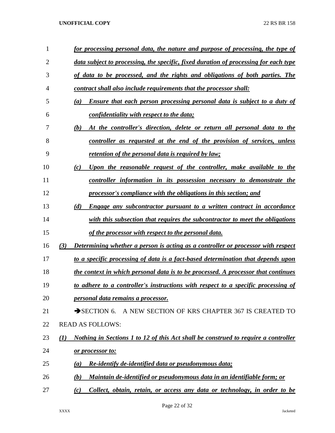| 1  | for processing personal data, the nature and purpose of processing, the type of                       |
|----|-------------------------------------------------------------------------------------------------------|
| 2  | data subject to processing, the specific, fixed duration of processing for each type                  |
| 3  | of data to be processed, and the rights and obligations of both parties. The                          |
| 4  | contract shall also include requirements that the processor shall:                                    |
| 5  | <b>Ensure that each person processing personal data is subject to a duty of</b><br>(a)                |
| 6  | confidentiality with respect to the data;                                                             |
| 7  | At the controller's direction, delete or return all personal data to the<br>(b)                       |
| 8  | controller as requested at the end of the provision of services, unless                               |
| 9  | <u>retention of the personal data is required by law;</u>                                             |
| 10 | Upon the reasonable request of the controller, make available to the<br>(c)                           |
| 11 | <u>controller information in its possession necessary to demonstrate the</u>                          |
| 12 | processor's compliance with the obligations in this section; and                                      |
| 13 | (d)<br><b>Engage any subcontractor pursuant to a written contract in accordance</b>                   |
| 14 | with this subsection that requires the subcontractor to meet the obligations                          |
| 15 | of the processor with respect to the personal data.                                                   |
| 16 | <b>Determining whether a person is acting as a controller or processor with respect</b><br>(3)        |
| 17 | to a specific processing of data is a fact-based determination that depends upon                      |
| 18 | <u>the context in which personal data is to be processed. A processor that continues</u>              |
| 19 | to adhere to a controller's instructions with respect to a specific processing of                     |
| 20 | personal data remains a processor.                                                                    |
| 21 | A NEW SECTION OF KRS CHAPTER 367 IS CREATED TO<br>$\rightarrow$ SECTION 6.                            |
| 22 | <b>READ AS FOLLOWS:</b>                                                                               |
| 23 | <u>Nothing in Sections 1 to 12 of this Act shall be construed to require a controller</u><br>$\bf(1)$ |
| 24 | <u>or processor to:</u>                                                                               |
| 25 | Re-identify de-identified data or pseudonymous data;<br>(a)                                           |
| 26 | Maintain de-identified or pseudonymous data in an identifiable form; or<br>(b)                        |
| 27 | Collect, obtain, retain, or access any data or technology, in order to be<br>(c)                      |

Page 22 of 32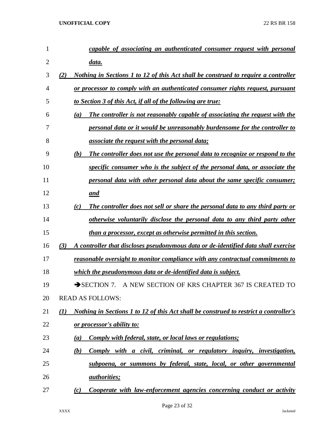| 1  | capable of associating an authenticated consumer request with personal                              |
|----|-----------------------------------------------------------------------------------------------------|
| 2  | <u>data.</u>                                                                                        |
| 3  | Nothing in Sections 1 to 12 of this Act shall be construed to require a controller<br>(2)           |
| 4  | or processor to comply with an authenticated consumer rights request, pursuant                      |
| 5  | <u>to Section 3 of this Act, if all of the following are true:</u>                                  |
| 6  | The controller is not reasonably capable of associating the request with the<br>$\left(a\right)$    |
| 7  | personal data or it would be unreasonably burdensome for the controller to                          |
| 8  | <u>associate the request with the personal data;</u>                                                |
| 9  | The controller does not use the personal data to recognize or respond to the<br>(b)                 |
| 10 | specific consumer who is the subject of the personal data, or associate the                         |
| 11 | personal data with other personal data about the same specific consumer;                            |
| 12 | and                                                                                                 |
| 13 | The controller does not sell or share the personal data to any third party or<br>(c)                |
| 14 | otherwise voluntarily disclose the personal data to any third party other                           |
| 15 | than a processor, except as otherwise permitted in this section.                                    |
| 16 | A controller that discloses pseudonymous data or de-identified data shall exercise<br>(3)           |
| 17 | <u>reasonable oversight to monitor compliance with any contractual commitments to</u>               |
| 18 | <u>which the pseudonymous data or de-identified data is subject.</u>                                |
| 19 | A NEW SECTION OF KRS CHAPTER 367 IS CREATED TO<br>$\rightarrow$ SECTION 7.                          |
| 20 | <b>READ AS FOLLOWS:</b>                                                                             |
| 21 | <b>Nothing in Sections 1 to 12 of this Act shall be construed to restrict a controller's</b><br>(1) |
| 22 | <u>or processor's ability to:</u>                                                                   |
| 23 | <b>Comply with federal, state, or local laws or regulations;</b><br>(a)                             |
| 24 | Comply with a civil, criminal, or regulatory inquiry, investigation,<br>(b)                         |
| 25 | subpoena, or summons by federal, state, local, or other governmental                                |
| 26 | <i><u>authorities;</u></i>                                                                          |
| 27 | Cooperate with law-enforcement agencies concerning conduct or activity<br>(c)                       |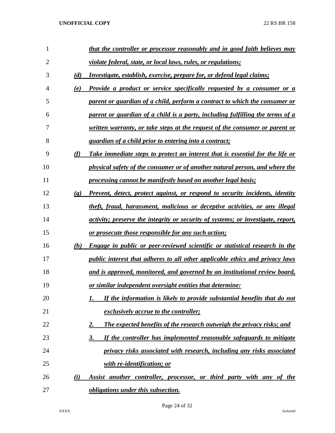| 1              |                             | that the controller or processor reasonably and in good faith believes may                  |
|----------------|-----------------------------|---------------------------------------------------------------------------------------------|
| $\overline{2}$ |                             | violate federal, state, or local laws, rules, or regulations;                               |
| 3              | (d)                         | <i><u><b>Investigate, establish, exercise, prepare for, or defend legal claims;</b></u></i> |
| 4              | (e)                         | Provide a product or service specifically requested by a consumer or a                      |
| 5              |                             | parent or guardian of a child, perform a contract to which the consumer or                  |
| 6              |                             | parent or guardian of a child is a party, including fulfilling the terms of a               |
| 7              |                             | <u>written warranty, or take steps at the request of the consumer or parent or</u>          |
| 8              |                             | <i>guardian of a child prior to entering into a contract;</i>                               |
| 9              | (f)                         | Take immediate steps to protect an interest that is essential for the life or               |
| 10             |                             | physical safety of the consumer or of another natural person, and where the                 |
| 11             |                             | processing cannot be manifestly based on another legal basis;                               |
| 12             | $\left( \mathbf{g} \right)$ | Prevent, detect, protect against, or respond to security incidents, identity                |
| 13             |                             | theft, fraud, harassment, malicious or deceptive activities, or any illegal                 |
| 14             |                             | activity; preserve the integrity or security of systems; or investigate, report,            |
| 15             |                             | <u>or prosecute those responsible for any such action;</u>                                  |
| 16             | (h)                         | Engage in public or peer-reviewed scientific or statistical research in the                 |
| 17             |                             | public interest that adheres to all other applicable ethics and privacy laws                |
| 18             |                             | and is approved, monitored, and governed by an institutional review board,                  |
| 19             |                             | <u>or similar independent oversight entities that determine:</u>                            |
| 20             |                             | If the information is likely to provide substantial benefits that do not                    |
| 21             |                             | <i>exclusively accrue to the controller;</i>                                                |
| 22             |                             | <b>The expected benefits of the research outweigh the privacy risks; and</b><br><u>2.</u>   |
| 23             |                             | If the controller has implemented reasonable safeguards to mitigate<br>3.                   |
| 24             |                             | privacy risks associated with research, including any risks associated                      |
| 25             |                             | with re-identification; or                                                                  |
| 26             | (i)                         | Assist another controller, processor, or third party with any of the                        |
| 27             |                             | <i>obligations under this subsection.</i>                                                   |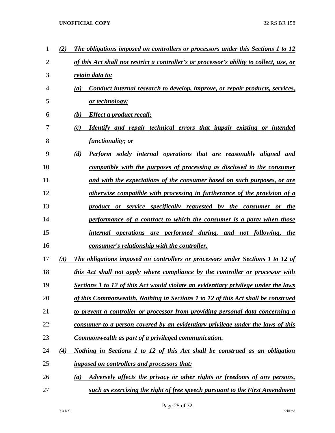| 1              | (2) | The obligations imposed on controllers or processors under this Sections 1 to 12         |
|----------------|-----|------------------------------------------------------------------------------------------|
| $\overline{2}$ |     | of this Act shall not restrict a controller's or processor's ability to collect, use, or |
| 3              |     | retain data to:                                                                          |
| 4              |     | Conduct internal research to develop, improve, or repair products, services,<br>(a)      |
| 5              |     | or technology;                                                                           |
| 6              |     | <b>Effect a product recall;</b><br>(b)                                                   |
| 7              |     | <b>Identify and repair technical errors that impair existing or intended</b><br>(c)      |
| 8              |     | <i>functionality; or</i>                                                                 |
| 9              |     | (d)<br><b>Perform</b> solely internal operations that are reasonably aligned and         |
| 10             |     | compatible with the purposes of processing as disclosed to the consumer                  |
| 11             |     | and with the expectations of the consumer based on such purposes, or are                 |
| 12             |     | otherwise compatible with processing in furtherance of the provision of a                |
| 13             |     | product or service specifically requested by the consumer or the                         |
| 14             |     | performance of a contract to which the consumer is a party when those                    |
| 15             |     | internal operations are performed during, and not following, the                         |
| 16             |     | consumer's relationship with the controller.                                             |
| 17             | (3) | The obligations imposed on controllers or processors under Sections 1 to 12 of           |
| 18             |     | this Act shall not apply where compliance by the controller or processor with            |
| 19             |     | Sections 1 to 12 of this Act would violate an evidentiary privilege under the laws       |
| 20             |     | of this Commonwealth. Nothing in Sections 1 to 12 of this Act shall be construed         |
| 21             |     | to prevent a controller or processor from providing personal data concerning a           |
| 22             |     | consumer to a person covered by an evidentiary privilege under the laws of this          |
| 23             |     | Commonwealth as part of a privileged communication.                                      |
| 24             | (4) | Nothing in Sections 1 to 12 of this Act shall be construed as an obligation              |
| 25             |     | <i>imposed on controllers and processors that:</i>                                       |
| 26             |     | Adversely affects the privacy or other rights or freedoms of any persons,<br>(a)         |
| 27             |     | such as exercising the right of free speech pursuant to the First Amendment              |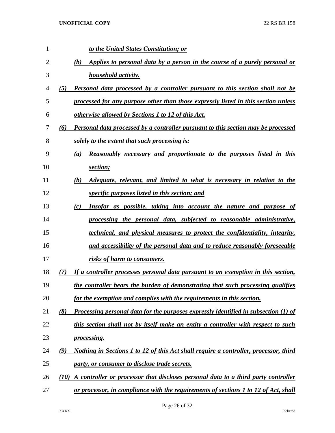| 1  | to the United States Constitution; or                                                            |
|----|--------------------------------------------------------------------------------------------------|
| 2  | Applies to personal data by a person in the course of a purely personal or<br>(b)                |
| 3  | <i>household activity.</i>                                                                       |
| 4  | <b>Personal data processed by a controller pursuant to this section shall not be</b><br>(5)      |
| 5  | processed for any purpose other than those expressly listed in this section unless               |
| 6  | <i>otherwise allowed by Sections 1 to 12 of this Act.</i>                                        |
| 7  | <b>Personal data processed by a controller pursuant to this section may be processed</b><br>(6)  |
| 8  | solely to the extent that such processing is:                                                    |
| 9  | <b>Reasonably necessary and proportionate to the purposes listed in this</b><br>$\left(a\right)$ |
| 10 | section;                                                                                         |
| 11 | <i>Adequate, relevant, and limited to what is necessary in relation to the</i><br>(b)            |
| 12 | specific purposes listed in this section; and                                                    |
| 13 | Insofar as possible, taking into account the nature and purpose of<br>(c)                        |
| 14 | processing the personal data, subjected to reasonable administrative,                            |
| 15 | <i>dechnical, and physical measures to protect the confidentiality, integrity,</i>               |
| 16 | and accessibility of the personal data and to reduce reasonably foreseeable                      |
| 17 | risks of harm to consumers.                                                                      |
| 18 | If a controller processes personal data pursuant to an exemption in this section,<br>(7)         |
| 19 | the controller bears the burden of demonstrating that such processing qualifies                  |
| 20 | for the exemption and complies with the requirements in this section.                            |
| 21 | Processing personal data for the purposes expressly identified in subsection (1) of<br>(8)       |
| 22 | this section shall not by itself make an entity a controller with respect to such                |
| 23 | <i>processing.</i>                                                                               |
| 24 | Nothing in Sections 1 to 12 of this Act shall require a controller, processor, third<br>(9)      |
| 25 | party, or consumer to disclose trade secrets.                                                    |
| 26 | A controller or processor that discloses personal data to a third party controller<br>(10)       |
| 27 | or processor, in compliance with the requirements of sections 1 to 12 of Act, shall              |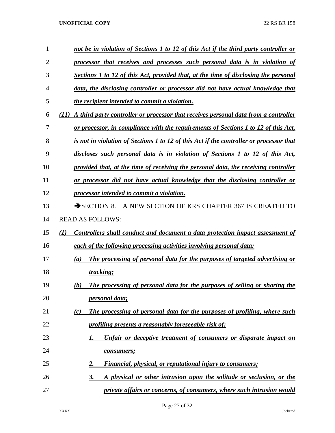| 1              | not be in violation of Sections 1 to 12 of this Act if the third party controller or        |
|----------------|---------------------------------------------------------------------------------------------|
| $\overline{2}$ | processor that receives and processes such personal data is in violation of                 |
| 3              | Sections 1 to 12 of this Act, provided that, at the time of disclosing the personal         |
| $\overline{4}$ | data, the disclosing controller or processor did not have actual knowledge that             |
| 5              | the recipient intended to commit a violation.                                               |
| 6              | A third party controller or processor that receives personal data from a controller<br>(11) |
| 7              | or processor, in compliance with the requirements of Sections 1 to 12 of this Act,          |
| 8              | is not in violation of Sections 1 to 12 of this Act if the controller or processor that     |
| 9              | discloses such personal data is in violation of Sections 1 to 12 of this Act,               |
| 10             | provided that, at the time of receiving the personal data, the receiving controller         |
| 11             | or processor did not have actual knowledge that the disclosing controller or                |
| 12             | processor intended to commit a violation.                                                   |
| 13             | $\rightarrow$ SECTION 8.<br>A NEW SECTION OF KRS CHAPTER 367 IS CREATED TO                  |
| 14             | <b>READ AS FOLLOWS:</b>                                                                     |
| 15             | (1)<br>Controllers shall conduct and document a data protection impact assessment of        |
| 16             | each of the following processing activities involving personal data:                        |
| 17             | The processing of personal data for the purposes of targeted advertising or<br>(a)          |
| 18             | tracking;                                                                                   |
| 19             | The processing of personal data for the purposes of selling or sharing the<br>(b)           |
| 20             | <i>personal data;</i>                                                                       |
| 21             | The processing of personal data for the purposes of profiling, where such<br>(c)            |
| 22             | profiling presents a reasonably foreseeable risk of:                                        |
| 23             | Unfair or deceptive treatment of consumers or disparate impact on<br>1.                     |
| 24             | consumers;                                                                                  |
| 25             | <b>Financial, physical, or reputational injury to consumers;</b><br>2.                      |
| 26             | 3.<br>A physical or other intrusion upon the solitude or seclusion, or the                  |
| 27             | private affairs or concerns, of consumers, where such intrusion would                       |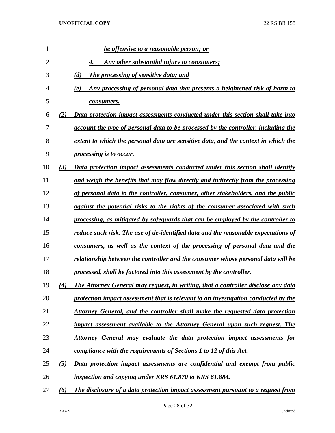| 1              |     | <u>be offensive to a reasonable person; or</u>                                     |
|----------------|-----|------------------------------------------------------------------------------------|
| $\overline{2}$ |     | Any other substantial injury to consumers;                                         |
| 3              |     | (d)<br>The processing of sensitive data; and                                       |
| 4              |     | Any processing of personal data that presents a heightened risk of harm to<br>(e)  |
| 5              |     | consumers.                                                                         |
| 6              | (2) | Data protection impact assessments conducted under this section shall take into    |
| 7              |     | account the type of personal data to be processed by the controller, including the |
| 8              |     | extent to which the personal data are sensitive data, and the context in which the |
| 9              |     | processing is to occur.                                                            |
| 10             | (3) | Data protection impact assessments conducted under this section shall identify     |
| 11             |     | and weigh the benefits that may flow directly and indirectly from the processing   |
| 12             |     | of personal data to the controller, consumer, other stakeholders, and the public   |
| 13             |     | against the potential risks to the rights of the consumer associated with such     |
| 14             |     | processing, as mitigated by safeguards that can be employed by the controller to   |
| 15             |     | reduce such risk. The use of de-identified data and the reasonable expectations of |
| 16             |     | consumers, as well as the context of the processing of personal data and the       |
| 17             |     | relationship between the controller and the consumer whose personal data will be   |
| 18             |     | processed, shall be factored into this assessment by the controller.               |
| 19             | (4) | The Attorney General may request, in writing, that a controller disclose any data  |
| 20             |     | protection impact assessment that is relevant to an investigation conducted by the |
| 21             |     | Attorney General, and the controller shall make the requested data protection      |
| 22             |     | impact assessment available to the Attorney General upon such request. The         |
| 23             |     | <u>Attorney General may evaluate the data protection impact assessments for</u>    |
| 24             |     | compliance with the requirements of Sections 1 to 12 of this Act.                  |
| 25             | (5) | Data protection impact assessments are confidential and exempt from public         |
| 26             |     | inspection and copying under KRS 61.870 to KRS 61.884.                             |
| 27             | (6) | The disclosure of a data protection impact assessment pursuant to a request from   |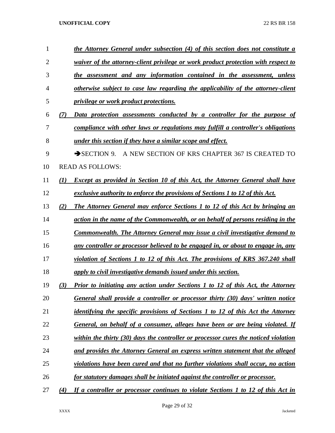| 1              |     | the Attorney General under subsection (4) of this section does not constitute a      |
|----------------|-----|--------------------------------------------------------------------------------------|
| $\overline{2}$ |     | waiver of the attorney-client privilege or work product protection with respect to   |
| 3              |     | the assessment and any information contained in the assessment, unless               |
| 4              |     | otherwise subject to case law regarding the applicability of the attorney-client     |
| 5              |     | <i>privilege or work product protections.</i>                                        |
| 6              | (7) | Data protection assessments conducted by a controller for the purpose of             |
| 7              |     | compliance with other laws or regulations may fulfill a controller's obligations     |
| 8              |     | under this section if they have a similar scope and effect.                          |
| 9              |     | A NEW SECTION OF KRS CHAPTER 367 IS CREATED TO<br>$\rightarrow$ SECTION 9.           |
| 10             |     | <b>READ AS FOLLOWS:</b>                                                              |
| 11             | (1) | <b>Except as provided in Section 10 of this Act, the Attorney General shall have</b> |
| 12             |     | exclusive authority to enforce the provisions of Sections 1 to 12 of this Act.       |
| 13             | (2) | The Attorney General may enforce Sections 1 to 12 of this Act by bringing an         |
| 14             |     | action in the name of the Commonwealth, or on behalf of persons residing in the      |
| 15             |     | <b>Commonwealth. The Attorney General may issue a civil investigative demand to</b>  |
| 16             |     | any controller or processor believed to be engaged in, or about to engage in, any    |
| 17             |     | violation of Sections 1 to 12 of this Act. The provisions of KRS 367.240 shall       |
| 18             |     | apply to civil investigative demands issued under this section.                      |
| 19             | (3) | Prior to initiating any action under Sections 1 to 12 of this Act, the Attorney      |
| 20             |     | General shall provide a controller or processor thirty (30) days' written notice     |
| 21             |     | identifying the specific provisions of Sections 1 to 12 of this Act the Attorney     |
| 22             |     | General, on behalf of a consumer, alleges have been or are being violated. If        |
| 23             |     | within the thirty (30) days the controller or processor cures the noticed violation  |
| 24             |     | and provides the Attorney General an express written statement that the alleged      |
| 25             |     | violations have been cured and that no further violations shall occur, no action     |
| 26             |     | for statutory damages shall be initiated against the controller or processor.        |
| 27             | (4) | If a controller or processor continues to violate Sections 1 to 12 of this Act in    |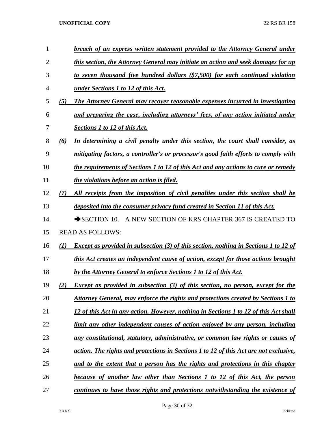| 1              |     | breach of an express written statement provided to the Attorney General under               |
|----------------|-----|---------------------------------------------------------------------------------------------|
| $\overline{2}$ |     | this section, the Attorney General may initiate an action and seek damages for up           |
| 3              |     | to seven thousand five hundred dollars (\$7,500) for each continued violation               |
| 4              |     | <u>under Sections 1 to 12 of this Act.</u>                                                  |
| 5              | (5) | The Attorney General may recover reasonable expenses incurred in investigating              |
| 6              |     | and preparing the case, including attorneys' fees, of any action initiated under            |
| 7              |     | <b>Sections 1 to 12 of this Act.</b>                                                        |
| 8              | (6) | In determining a civil penalty under this section, the court shall consider, as             |
| 9              |     | mitigating factors, a controller's or processor's good faith efforts to comply with         |
| 10             |     | the requirements of Sections 1 to 12 of this Act and any actions to cure or remedy          |
| 11             |     | the violations before an action is filed.                                                   |
| 12             | (7) | All receipts from the imposition of civil penalties under this section shall be             |
| 13             |     | deposited into the consumer privacy fund created in Section 11 of this Act.                 |
| 14             |     | A NEW SECTION OF KRS CHAPTER 367 IS CREATED TO<br>$\rightarrow$ SECTION 10.                 |
| 15             |     | <b>READ AS FOLLOWS:</b>                                                                     |
| 16             | (I) | <b>Except as provided in subsection (3) of this section, nothing in Sections 1 to 12 of</b> |
| 17             |     | this Act creates an independent cause of action, except for those actions brought           |
| 18             |     | by the Attorney General to enforce Sections 1 to 12 of this Act.                            |
| 19             | 2)  | <b>Except as provided in subsection (3) of this section, no person, except for the</b>      |
| 20             |     | Attorney General, may enforce the rights and protections created by Sections 1 to           |
| 21             |     | 12 of this Act in any action. However, nothing in Sections 1 to 12 of this Act shall        |
| 22             |     | limit any other independent causes of action enjoyed by any person, including               |
| 23             |     | any constitutional, statutory, administrative, or common law rights or causes of            |
| 24             |     | action. The rights and protections in Sections 1 to 12 of this Act are not exclusive,       |
| 25             |     | and to the extent that a person has the rights and protections in this chapter              |
| 26             |     | because of another law other than Sections 1 to 12 of this Act, the person                  |
| 27             |     | continues to have those rights and protections notwithstanding the existence of             |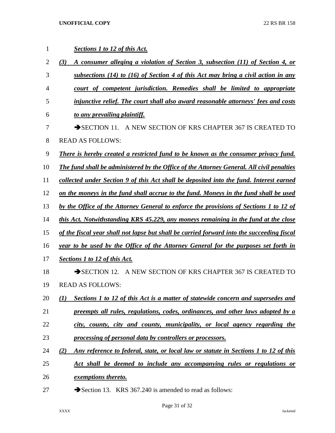| 1  | Sections 1 to 12 of this Act.                                                                      |
|----|----------------------------------------------------------------------------------------------------|
| 2  | (3)<br>A consumer alleging a violation of Section 3, subsection (11) of Section 4, or              |
| 3  | subsections (14) to (16) of Section 4 of this Act may bring a civil action in any                  |
| 4  | court of competent jurisdiction. Remedies shall be limited to appropriate                          |
| 5  | injunctive relief. The court shall also award reasonable attorneys' fees and costs                 |
| 6  | to any prevailing plaintiff.                                                                       |
| 7  | A NEW SECTION OF KRS CHAPTER 367 IS CREATED TO<br>$\rightarrow$ SECTION 11.                        |
| 8  | <b>READ AS FOLLOWS:</b>                                                                            |
| 9  | There is hereby created a restricted fund to be known as the consumer privacy fund.                |
| 10 | The fund shall be administered by the Office of the Attorney General. All civil penalties          |
| 11 | collected under Section 9 of this Act shall be deposited into the fund. Interest earned            |
| 12 | on the moneys in the fund shall accrue to the fund. Moneys in the fund shall be used               |
| 13 | by the Office of the Attorney General to enforce the provisions of Sections 1 to 12 of             |
| 14 | this Act. Notwithstanding KRS 45.229, any moneys remaining in the fund at the close                |
| 15 | of the fiscal year shall not lapse but shall be carried forward into the succeeding fiscal         |
| 16 | year to be used by the Office of the Attorney General for the purposes set forth in                |
| 17 | <b>Sections 1 to 12 of this Act.</b>                                                               |
| 18 | A NEW SECTION OF KRS CHAPTER 367 IS CREATED TO<br>$\rightarrow$ SECTION 12.                        |
| 19 | <b>READ AS FOLLOWS:</b>                                                                            |
| 20 | Sections 1 to 12 of this Act is a matter of statewide concern and supersedes and<br>(1)            |
| 21 | preempts all rules, regulations, codes, ordinances, and other laws adopted by a                    |
| 22 | city, county, city and county, municipality, or local agency regarding the                         |
| 23 | processing of personal data by controllers or processors.                                          |
| 24 | (2)<br><u>Any reference to federal, state, or local law or statute in Sections 1 to 12 of this</u> |
| 25 | Act shall be deemed to include any accompanying rules or regulations or                            |
| 26 | <i><u>exemptions thereto.</u></i>                                                                  |
| 27 | Section 13. KRS 367.240 is amended to read as follows:                                             |